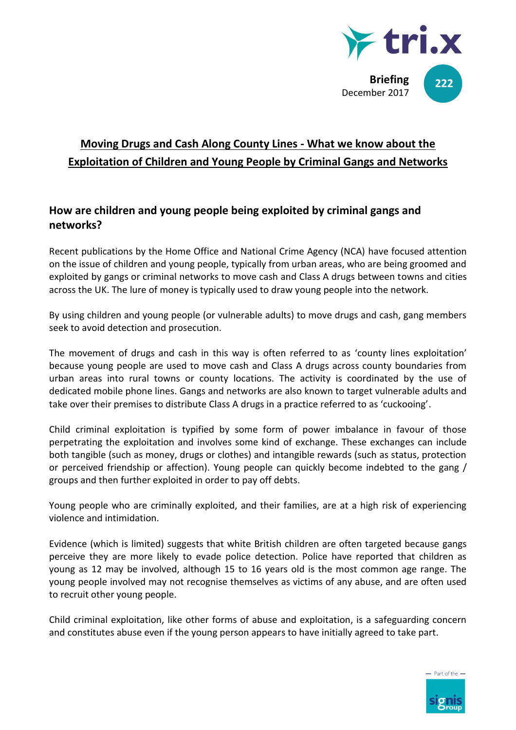

# **Moving Drugs and Cash Along County Lines - What we know about the Exploitation of Children and Young People by Criminal Gangs and Networks**

# **How are children and young people being exploited by criminal gangs and networks?**

Recent publications by the Home Office and National Crime Agency (NCA) have focused attention on the issue of children and young people, typically from urban areas, who are being groomed and exploited by gangs or criminal networks to move cash and Class A drugs between towns and cities across the UK. The lure of money is typically used to draw young people into the network.

By using children and young people (or vulnerable adults) to move drugs and cash, gang members seek to avoid detection and prosecution.

The movement of drugs and cash in this way is often referred to as 'county lines exploitation' because young people are used to move cash and Class A drugs across county boundaries from urban areas into rural towns or county locations. The activity is coordinated by the use of dedicated mobile phone lines. Gangs and networks are also known to target vulnerable adults and take over their premises to distribute Class A drugs in a practice referred to as 'cuckooing'.

Child criminal exploitation is typified by some form of power imbalance in favour of those perpetrating the exploitation and involves some kind of exchange. These exchanges can include both tangible (such as money, drugs or clothes) and intangible rewards (such as status, protection or perceived friendship or affection). Young people can quickly become indebted to the gang / groups and then further exploited in order to pay off debts.

Young people who are criminally exploited, and their families, are at a high risk of experiencing violence and intimidation.

Evidence (which is limited) suggests that white British children are often targeted because gangs perceive they are more likely to evade police detection. Police have reported that children as young as 12 may be involved, although 15 to 16 years old is the most common age range. The young people involved may not recognise themselves as victims of any abuse, and are often used to recruit other young people.

Child criminal exploitation, like other forms of abuse and exploitation, is a safeguarding concern and constitutes abuse even if the young person appears to have initially agreed to take part.

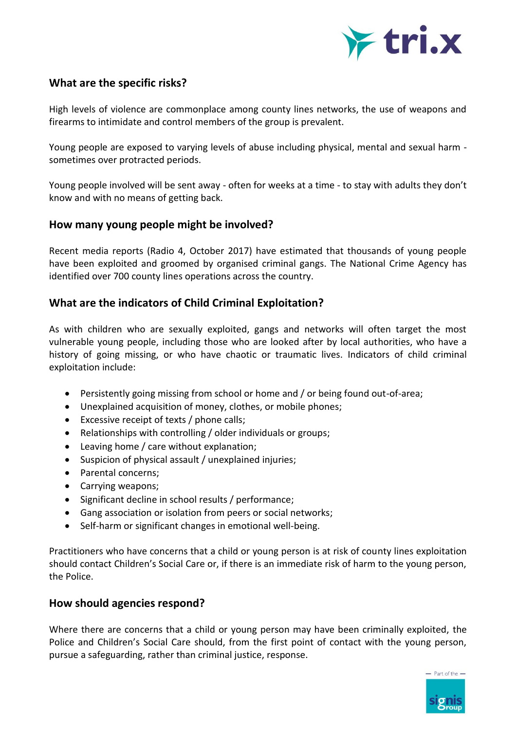

## **What are the specific risks?**

High levels of violence are commonplace among county lines networks, the use of weapons and firearms to intimidate and control members of the group is prevalent.

Young people are exposed to varying levels of abuse including physical, mental and sexual harm sometimes over protracted periods.

Young people involved will be sent away - often for weeks at a time - to stay with adults they don't know and with no means of getting back.

#### **How many young people might be involved?**

Recent media reports (Radio 4, October 2017) have estimated that thousands of young people have been exploited and groomed by organised criminal gangs. The National Crime Agency has identified over 700 county lines operations across the country.

## **What are the indicators of Child Criminal Exploitation?**

As with children who are sexually exploited, gangs and networks will often target the most vulnerable young people, including those who are looked after by local authorities, who have a history of going missing, or who have chaotic or traumatic lives. Indicators of child criminal exploitation include:

- Persistently going missing from school or home and / or being found out-of-area;
- Unexplained acquisition of money, clothes, or mobile phones;
- Excessive receipt of texts / phone calls;
- Relationships with controlling / older individuals or groups;
- Leaving home / care without explanation;
- Suspicion of physical assault / unexplained injuries;
- Parental concerns;
- Carrying weapons;
- Significant decline in school results / performance;
- Gang association or isolation from peers or social networks;
- Self-harm or significant changes in emotional well-being.

Practitioners who have concerns that a child or young person is at risk of county lines exploitation should contact Children's Social Care or, if there is an immediate risk of harm to the young person, the Police.

### **How should agencies respond?**

Where there are concerns that a child or young person may have been criminally exploited, the Police and Children's Social Care should, from the first point of contact with the young person, pursue a safeguarding, rather than criminal justice, response.